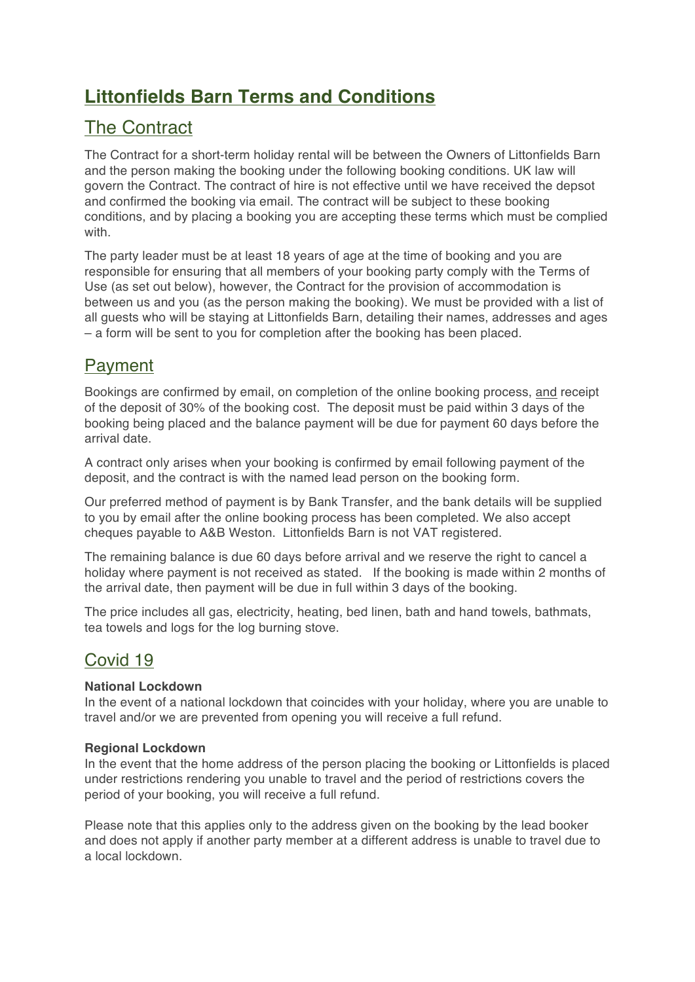# **Littonfields Barn Terms and Conditions**

# The Contract

The Contract for a short-term holiday rental will be between the Owners of Littonfields Barn and the person making the booking under the following booking conditions. UK law will govern the Contract. The contract of hire is not effective until we have received the depsot and confirmed the booking via email. The contract will be subject to these booking conditions, and by placing a booking you are accepting these terms which must be complied with.

The party leader must be at least 18 years of age at the time of booking and you are responsible for ensuring that all members of your booking party comply with the Terms of Use (as set out below), however, the Contract for the provision of accommodation is between us and you (as the person making the booking). We must be provided with a list of all guests who will be staying at Littonfields Barn, detailing their names, addresses and ages – a form will be sent to you for completion after the booking has been placed.

## Payment

Bookings are confirmed by email, on completion of the online booking process, and receipt of the deposit of 30% of the booking cost. The deposit must be paid within 3 days of the booking being placed and the balance payment will be due for payment 60 days before the arrival date.

A contract only arises when your booking is confirmed by email following payment of the deposit, and the contract is with the named lead person on the booking form.

Our preferred method of payment is by Bank Transfer, and the bank details will be supplied to you by email after the online booking process has been completed. We also accept cheques payable to A&B Weston. Littonfields Barn is not VAT registered.

The remaining balance is due 60 days before arrival and we reserve the right to cancel a holiday where payment is not received as stated. If the booking is made within 2 months of the arrival date, then payment will be due in full within 3 days of the booking.

The price includes all gas, electricity, heating, bed linen, bath and hand towels, bathmats, tea towels and logs for the log burning stove.

## Covid 19

### **National Lockdown**

In the event of a national lockdown that coincides with your holiday, where you are unable to travel and/or we are prevented from opening you will receive a full refund.

### **Regional Lockdown**

In the event that the home address of the person placing the booking or Littonfields is placed under restrictions rendering you unable to travel and the period of restrictions covers the period of your booking, you will receive a full refund.

Please note that this applies only to the address given on the booking by the lead booker and does not apply if another party member at a different address is unable to travel due to a local lockdown.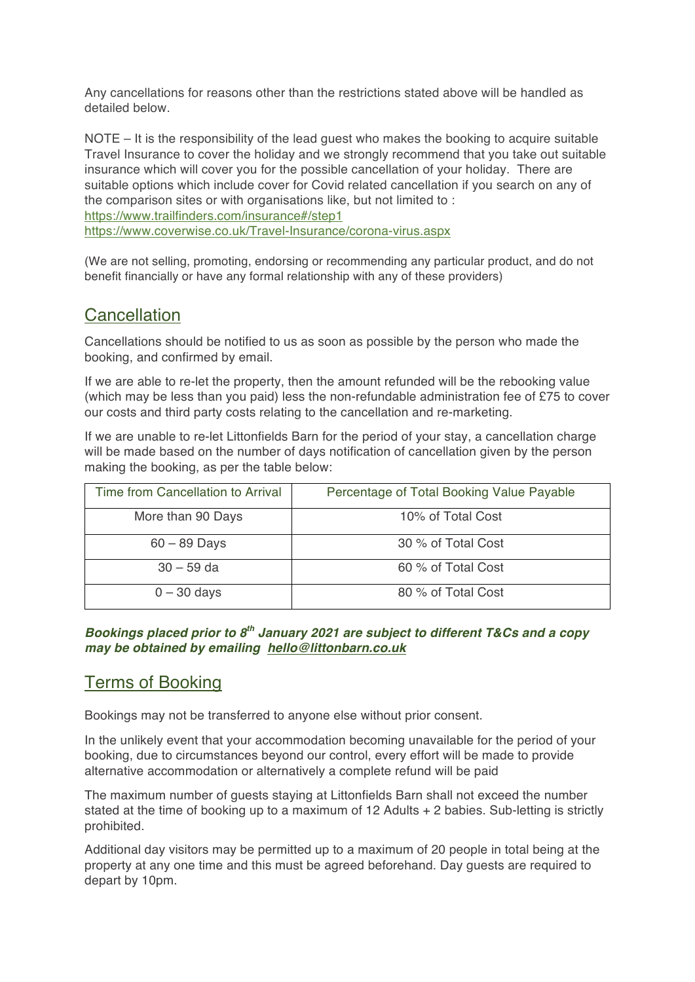Any cancellations for reasons other than the restrictions stated above will be handled as detailed below.

NOTE – It is the responsibility of the lead guest who makes the booking to acquire suitable Travel Insurance to cover the holiday and we strongly recommend that you take out suitable insurance which will cover you for the possible cancellation of your holiday. There are suitable options which include cover for Covid related cancellation if you search on any of the comparison sites or with organisations like, but not limited to : https://www.trailfinders.com/insurance#/step1 https://www.coverwise.co.uk/Travel-Insurance/corona-virus.aspx

(We are not selling, promoting, endorsing or recommending any particular product, and do not benefit financially or have any formal relationship with any of these providers)

## **Cancellation**

Cancellations should be notified to us as soon as possible by the person who made the booking, and confirmed by email.

If we are able to re-let the property, then the amount refunded will be the rebooking value (which may be less than you paid) less the non-refundable administration fee of £75 to cover our costs and third party costs relating to the cancellation and re-marketing.

If we are unable to re-let Littonfields Barn for the period of your stay, a cancellation charge will be made based on the number of days notification of cancellation given by the person making the booking, as per the table below:

| Time from Cancellation to Arrival | Percentage of Total Booking Value Payable |
|-----------------------------------|-------------------------------------------|
| More than 90 Days                 | 10% of Total Cost                         |
| $60 - 89$ Days                    | 30 % of Total Cost                        |
| $30 - 59$ da                      | 60 % of Total Cost                        |
| $0 - 30$ days                     | 80 % of Total Cost                        |

#### *Bookings placed prior to 8th January 2021 are subject to different T&Cs and a copy may be obtained by emailing hello@littonbarn.co.uk*

## Terms of Booking

Bookings may not be transferred to anyone else without prior consent.

In the unlikely event that your accommodation becoming unavailable for the period of your booking, due to circumstances beyond our control, every effort will be made to provide alternative accommodation or alternatively a complete refund will be paid

The maximum number of guests staying at Littonfields Barn shall not exceed the number stated at the time of booking up to a maximum of  $12$  Adults  $+ 2$  babies. Sub-letting is strictly prohibited.

Additional day visitors may be permitted up to a maximum of 20 people in total being at the property at any one time and this must be agreed beforehand. Day guests are required to depart by 10pm.